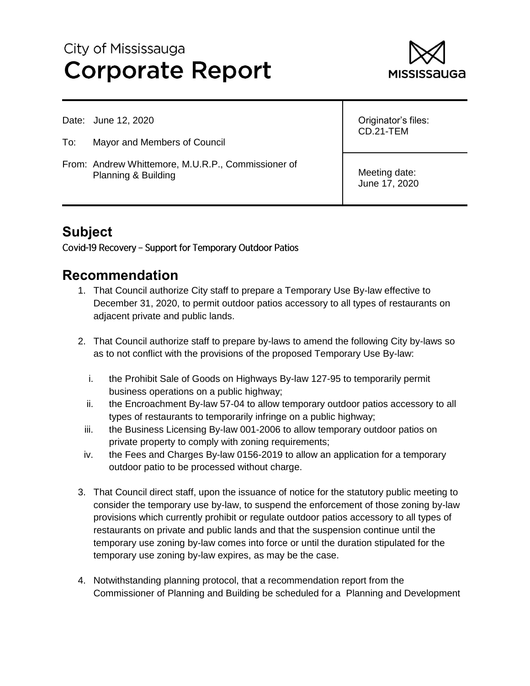# City of Mississauga **Corporate Report**



Date: June 12, 2020

- To: Mayor and Members of Council
- From: Andrew Whittemore, M.U.R.P., Commissioner of Planning & Building

Originator's files: CD.21-TEM

Meeting date: June 17, 2020

# **Subject**

Covid-19 Recovery - Support for Temporary Outdoor Patios

# **Recommendation**

- 1. That Council authorize City staff to prepare a Temporary Use By-law effective to December 31, 2020, to permit outdoor patios accessory to all types of restaurants on adjacent private and public lands.
- 2. That Council authorize staff to prepare by-laws to amend the following City by-laws so as to not conflict with the provisions of the proposed Temporary Use By-law:
	- i. the Prohibit Sale of Goods on Highways By-law 127-95 to temporarily permit business operations on a public highway;
	- ii. the Encroachment By-law 57-04 to allow temporary outdoor patios accessory to all types of restaurants to temporarily infringe on a public highway;
	- iii. the Business Licensing By-law 001-2006 to allow temporary outdoor patios on private property to comply with zoning requirements;
- iv. the Fees and Charges By-law 0156-2019 to allow an application for a temporary outdoor patio to be processed without charge.
- 3. That Council direct staff, upon the issuance of notice for the statutory public meeting to consider the temporary use by-law, to suspend the enforcement of those zoning by-law provisions which currently prohibit or regulate outdoor patios accessory to all types of restaurants on private and public lands and that the suspension continue until the temporary use zoning by-law comes into force or until the duration stipulated for the temporary use zoning by-law expires, as may be the case.
- 4. Notwithstanding planning protocol, that a recommendation report from the Commissioner of Planning and Building be scheduled for a Planning and Development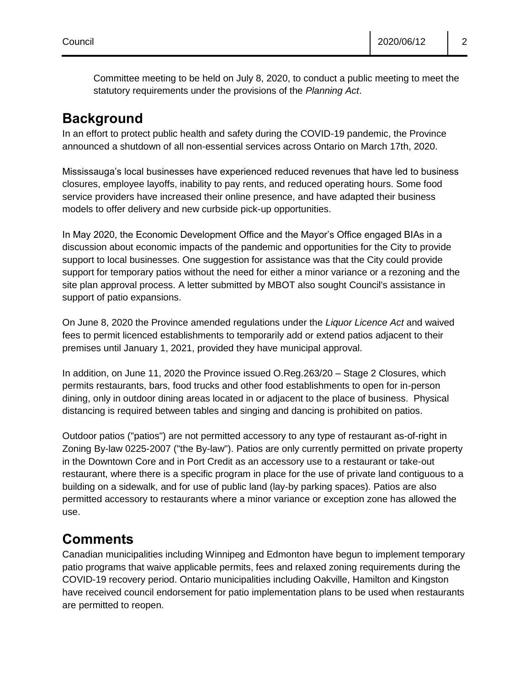Committee meeting to be held on July 8, 2020, to conduct a public meeting to meet the statutory requirements under the provisions of the *Planning Act*.

# **Background**

In an effort to protect public health and safety during the COVID-19 pandemic, the Province announced a shutdown of all non-essential services across Ontario on March 17th, 2020.

Mississauga's local businesses have experienced reduced revenues that have led to business closures, employee layoffs, inability to pay rents, and reduced operating hours. Some food service providers have increased their online presence, and have adapted their business models to offer delivery and new curbside pick-up opportunities.

In May 2020, the Economic Development Office and the Mayor's Office engaged BIAs in a discussion about economic impacts of the pandemic and opportunities for the City to provide support to local businesses. One suggestion for assistance was that the City could provide support for temporary patios without the need for either a minor variance or a rezoning and the site plan approval process. A letter submitted by MBOT also sought Council's assistance in support of patio expansions.

On June 8, 2020 the Province amended regulations under the *Liquor Licence Act* and waived fees to permit licenced establishments to temporarily add or extend patios adjacent to their premises until January 1, 2021, provided they have municipal approval.

In addition, on June 11, 2020 the Province issued O.Reg.263/20 – Stage 2 Closures, which permits restaurants, bars, food trucks and other food establishments to open for in-person dining, only in outdoor dining areas located in or adjacent to the place of business. Physical distancing is required between tables and singing and dancing is prohibited on patios.

Outdoor patios ("patios") are not permitted accessory to any type of restaurant as-of-right in Zoning By-law 0225-2007 ("the By-law"). Patios are only currently permitted on private property in the Downtown Core and in Port Credit as an accessory use to a restaurant or take-out restaurant, where there is a specific program in place for the use of private land contiguous to a building on a sidewalk, and for use of public land (lay-by parking spaces). Patios are also permitted accessory to restaurants where a minor variance or exception zone has allowed the use.

# **Comments**

Canadian municipalities including Winnipeg and Edmonton have begun to implement temporary patio programs that waive applicable permits, fees and relaxed zoning requirements during the COVID-19 recovery period. Ontario municipalities including Oakville, Hamilton and Kingston have received council endorsement for patio implementation plans to be used when restaurants are permitted to reopen.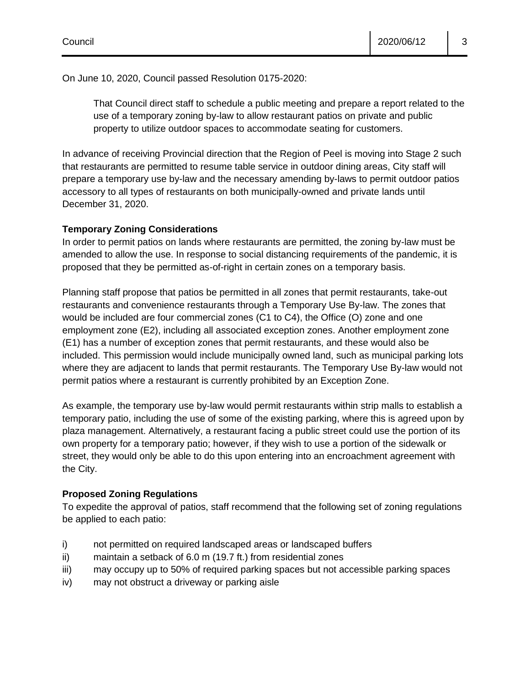On June 10, 2020, Council passed Resolution 0175-2020:

That Council direct staff to schedule a public meeting and prepare a report related to the use of a temporary zoning by-law to allow restaurant patios on private and public property to utilize outdoor spaces to accommodate seating for customers.

In advance of receiving Provincial direction that the Region of Peel is moving into Stage 2 such that restaurants are permitted to resume table service in outdoor dining areas, City staff will prepare a temporary use by-law and the necessary amending by-laws to permit outdoor patios accessory to all types of restaurants on both municipally-owned and private lands until December 31, 2020.

#### **Temporary Zoning Considerations**

In order to permit patios on lands where restaurants are permitted, the zoning by-law must be amended to allow the use. In response to social distancing requirements of the pandemic, it is proposed that they be permitted as-of-right in certain zones on a temporary basis.

Planning staff propose that patios be permitted in all zones that permit restaurants, take-out restaurants and convenience restaurants through a Temporary Use By-law. The zones that would be included are four commercial zones (C1 to C4), the Office (O) zone and one employment zone (E2), including all associated exception zones. Another employment zone (E1) has a number of exception zones that permit restaurants, and these would also be included. This permission would include municipally owned land, such as municipal parking lots where they are adjacent to lands that permit restaurants. The Temporary Use By-law would not permit patios where a restaurant is currently prohibited by an Exception Zone.

As example, the temporary use by-law would permit restaurants within strip malls to establish a temporary patio, including the use of some of the existing parking, where this is agreed upon by plaza management. Alternatively, a restaurant facing a public street could use the portion of its own property for a temporary patio; however, if they wish to use a portion of the sidewalk or street, they would only be able to do this upon entering into an encroachment agreement with the City.

#### **Proposed Zoning Regulations**

To expedite the approval of patios, staff recommend that the following set of zoning regulations be applied to each patio:

- i) not permitted on required landscaped areas or landscaped buffers
- ii) maintain a setback of 6.0 m (19.7 ft.) from residential zones
- iii) may occupy up to 50% of required parking spaces but not accessible parking spaces
- iv) may not obstruct a driveway or parking aisle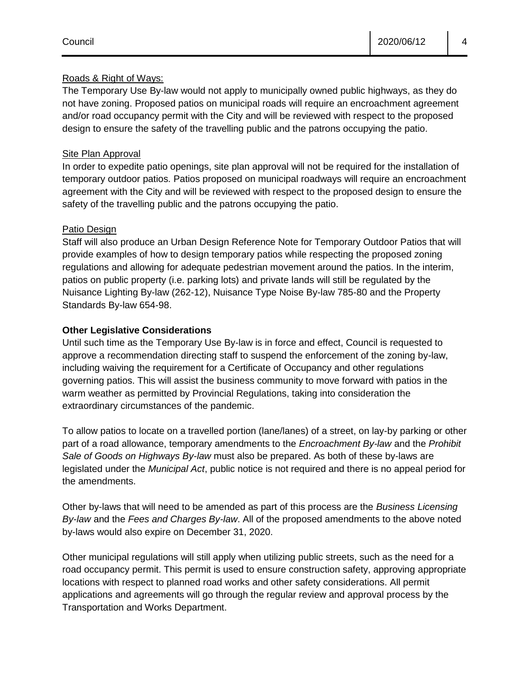#### Roads & Right of Ways:

The Temporary Use By-law would not apply to municipally owned public highways, as they do not have zoning. Proposed patios on municipal roads will require an encroachment agreement and/or road occupancy permit with the City and will be reviewed with respect to the proposed design to ensure the safety of the travelling public and the patrons occupying the patio.

#### Site Plan Approval

In order to expedite patio openings, site plan approval will not be required for the installation of temporary outdoor patios. Patios proposed on municipal roadways will require an encroachment agreement with the City and will be reviewed with respect to the proposed design to ensure the safety of the travelling public and the patrons occupying the patio.

#### Patio Design

Staff will also produce an Urban Design Reference Note for Temporary Outdoor Patios that will provide examples of how to design temporary patios while respecting the proposed zoning regulations and allowing for adequate pedestrian movement around the patios. In the interim, patios on public property (i.e. parking lots) and private lands will still be regulated by the Nuisance Lighting By-law (262-12), Nuisance Type Noise By-law 785-80 and the Property Standards By-law 654-98.

#### **Other Legislative Considerations**

Until such time as the Temporary Use By-law is in force and effect, Council is requested to approve a recommendation directing staff to suspend the enforcement of the zoning by-law, including waiving the requirement for a Certificate of Occupancy and other regulations governing patios. This will assist the business community to move forward with patios in the warm weather as permitted by Provincial Regulations, taking into consideration the extraordinary circumstances of the pandemic.

To allow patios to locate on a travelled portion (lane/lanes) of a street, on lay-by parking or other part of a road allowance, temporary amendments to the *Encroachment By-law* and the *Prohibit Sale of Goods on Highways By-law* must also be prepared. As both of these by-laws are legislated under the *Municipal Act*, public notice is not required and there is no appeal period for the amendments.

Other by-laws that will need to be amended as part of this process are the *Business Licensing By-law* and the *Fees and Charges By-law*. All of the proposed amendments to the above noted by-laws would also expire on December 31, 2020.

Other municipal regulations will still apply when utilizing public streets, such as the need for a road occupancy permit. This permit is used to ensure construction safety, approving appropriate locations with respect to planned road works and other safety considerations. All permit applications and agreements will go through the regular review and approval process by the Transportation and Works Department.